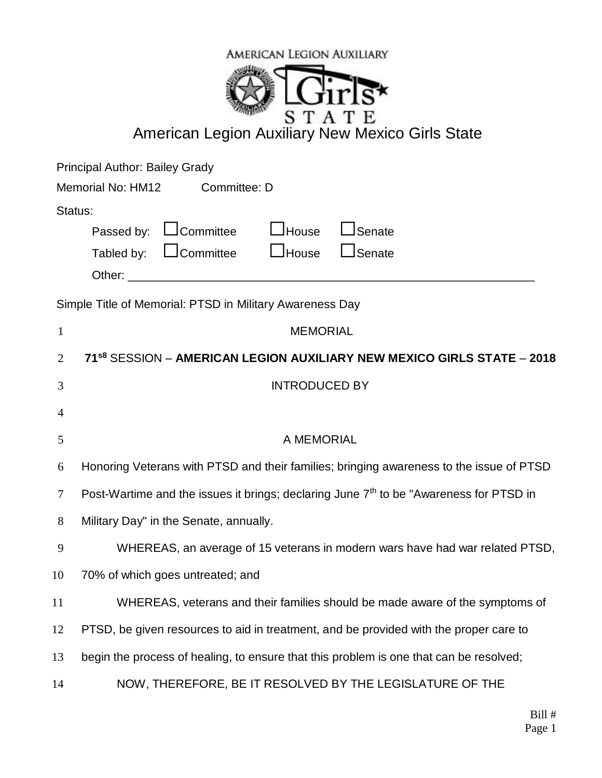

## **American Legion Auxiliary New Mexico Girls State**

Principal Author: Bailey Grady

| Memorial No: HM12 | Committee: D                                           |  |  |
|-------------------|--------------------------------------------------------|--|--|
| Status:           |                                                        |  |  |
|                   | Passed by: $\Box$ Committee $\Box$ House $\Box$ Senate |  |  |
|                   | Tabled by: $\Box$ Committee $\Box$ House $\Box$ Senate |  |  |
| Other:            |                                                        |  |  |

Simple Title of Memorial: PTSD in Military Awareness Day

| $\mathbf{1}$   | <b>MEMORIAL</b>                                                                                    |
|----------------|----------------------------------------------------------------------------------------------------|
| 2              | 71 <sup>s8</sup> SESSION - AMERICAN LEGION AUXILIARY NEW MEXICO GIRLS STATE - 2018                 |
| 3              | <b>INTRODUCED BY</b>                                                                               |
| $\overline{4}$ |                                                                                                    |
| 5              | A MEMORIAL                                                                                         |
| 6              | Honoring Veterans with PTSD and their families; bringing awareness to the issue of PTSD            |
| 7              | Post-Wartime and the issues it brings; declaring June 7 <sup>th</sup> to be "Awareness for PTSD in |
| 8              | Military Day" in the Senate, annually.                                                             |
| 9              | WHEREAS, an average of 15 veterans in modern wars have had war related PTSD,                       |
| 10             | 70% of which goes untreated; and                                                                   |
| 11             | WHEREAS, veterans and their families should be made aware of the symptoms of                       |
| 12             | PTSD, be given resources to aid in treatment, and be provided with the proper care to              |
| 13             | begin the process of healing, to ensure that this problem is one that can be resolved;             |
| 14             | NOW, THEREFORE, BE IT RESOLVED BY THE LEGISLATURE OF THE                                           |
|                |                                                                                                    |